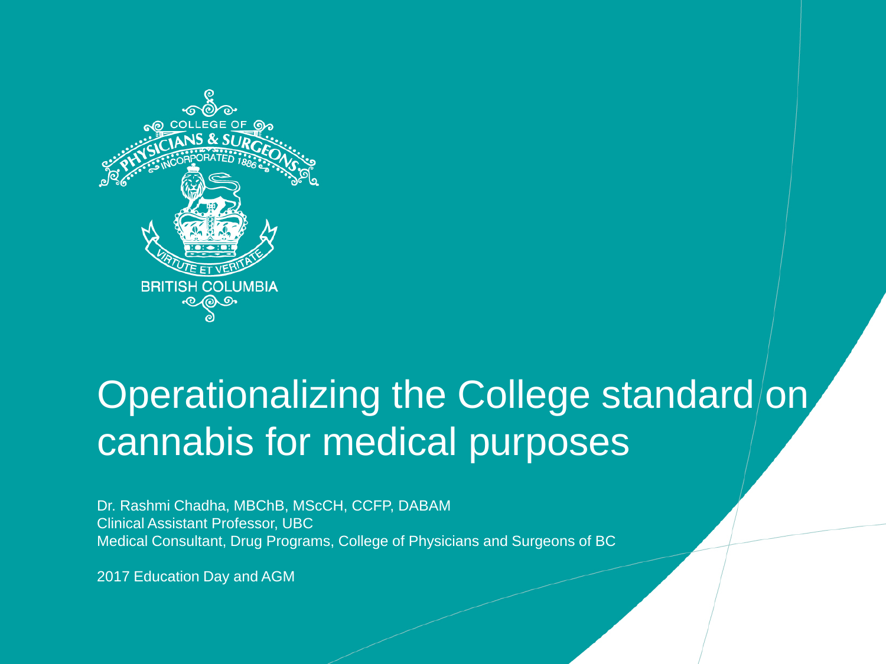

### Operationalizing the College standard/on cannabis for medical purposes

Dr. Rashmi Chadha, MBChB, MScCH, CCFP, DABAM Clinical Assistant Professor, UBC Medical Consultant, Drug Programs, College of Physicians and Surgeons of BC

2017 Education Day and AGM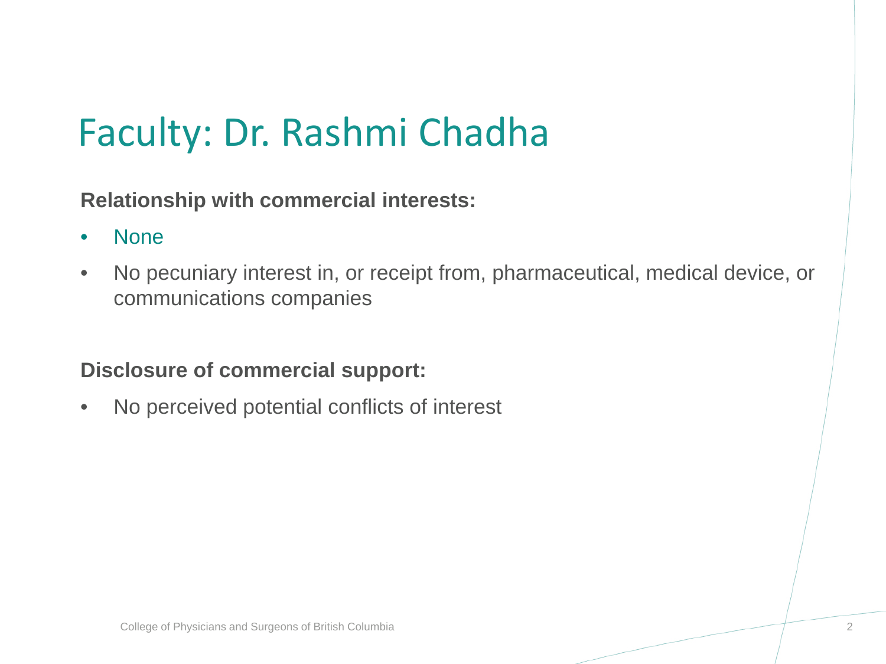## Faculty: Dr. Rashmi Chadha

**Relationship with commercial interests:**

- None
- No pecuniary interest in, or receipt from, pharmaceutical, medical device, or communications companies

#### **Disclosure of commercial support:**

• No perceived potential conflicts of interest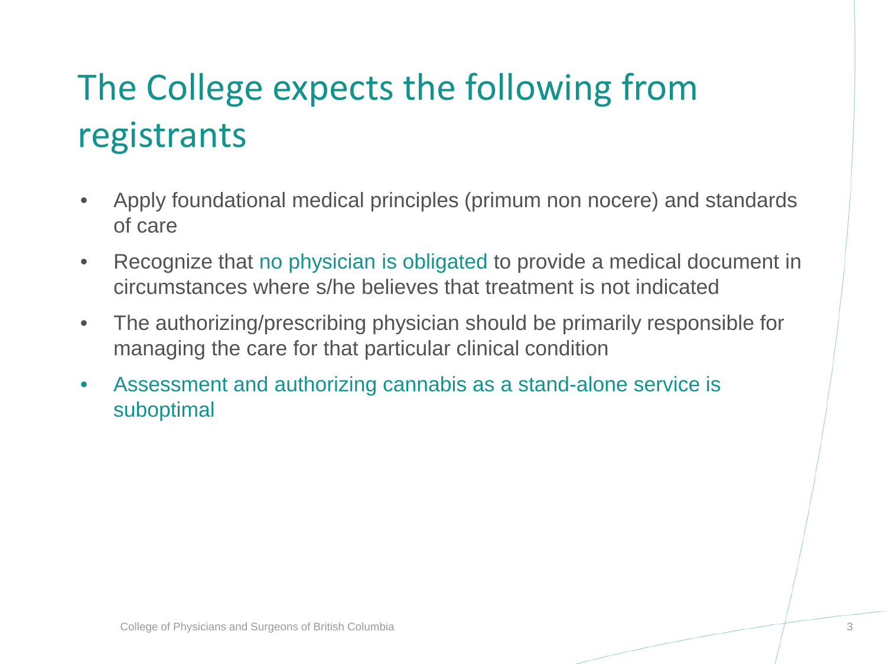## The College expects the following from registrants

- Apply foundational medical principles (primum non nocere) and standards of care
- Recognize that no physician is obligated to provide a medical document in circumstances where s/he believes that treatment is not indicated
- The authorizing/prescribing physician should be primarily responsible for managing the care for that particular clinical condition
- Assessment and authorizing cannabis as a stand-alone service is suboptimal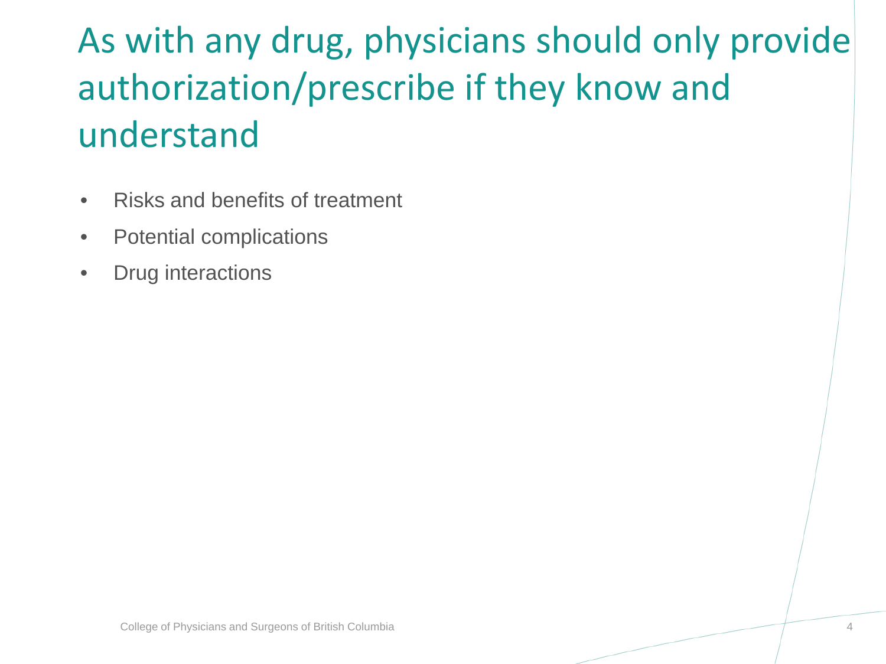## As with any drug, physicians should only provide authorization/prescribe if they know and understand

- Risks and benefits of treatment
- Potential complications
- Drug interactions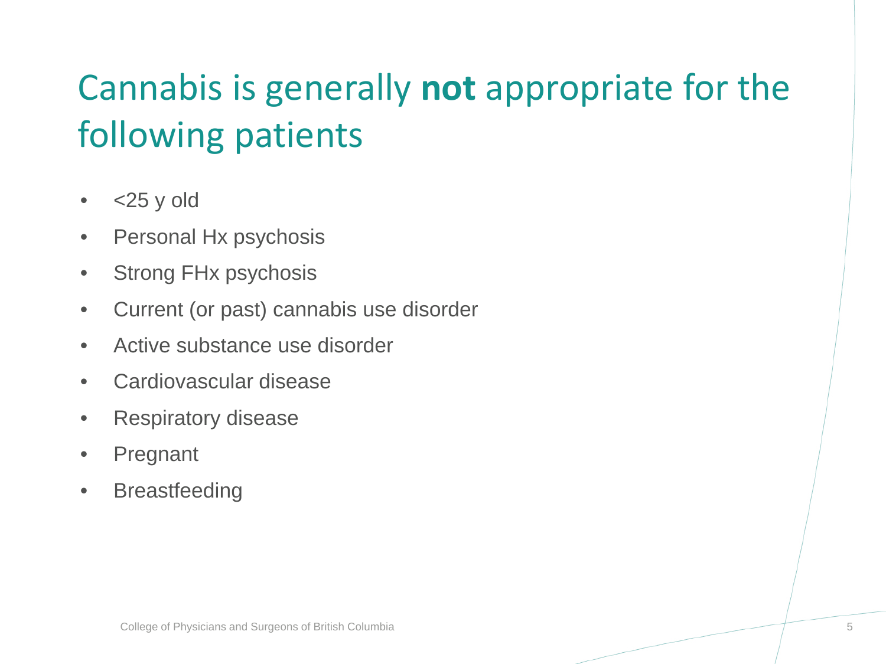## Cannabis is generally **not** appropriate for the following patients

- $\cdot$  <25 y old
- Personal Hx psychosis
- Strong FHx psychosis
- Current (or past) cannabis use disorder
- Active substance use disorder
- Cardiovascular disease
- Respiratory disease
- Pregnant
- Breastfeeding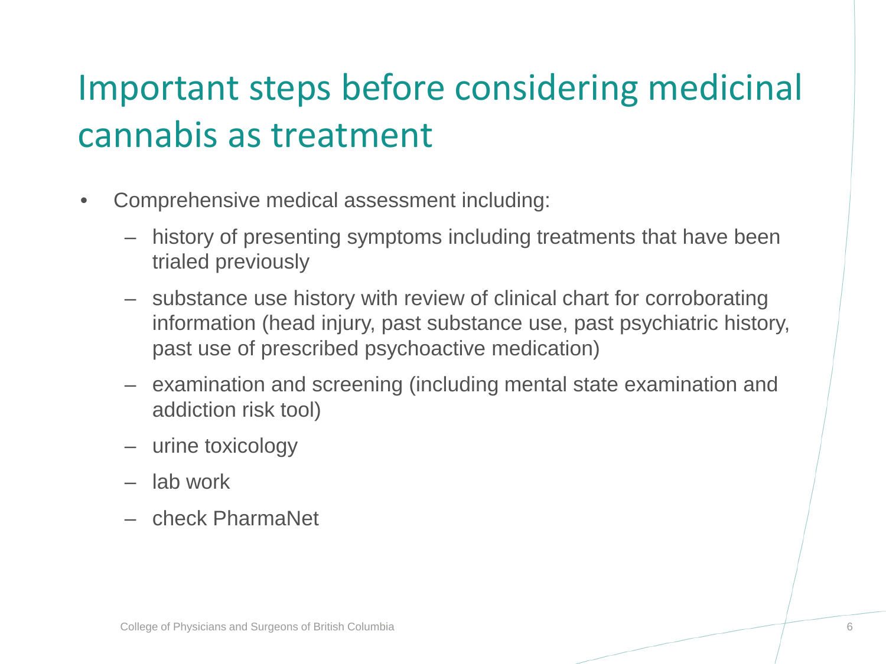## Important steps before considering medicinal cannabis as treatment

- Comprehensive medical assessment including:
	- history of presenting symptoms including treatments that have been trialed previously
	- substance use history with review of clinical chart for corroborating information (head injury, past substance use, past psychiatric history, past use of prescribed psychoactive medication)
	- examination and screening (including mental state examination and addiction risk tool)
	- urine toxicology
	- lab work
	- check PharmaNet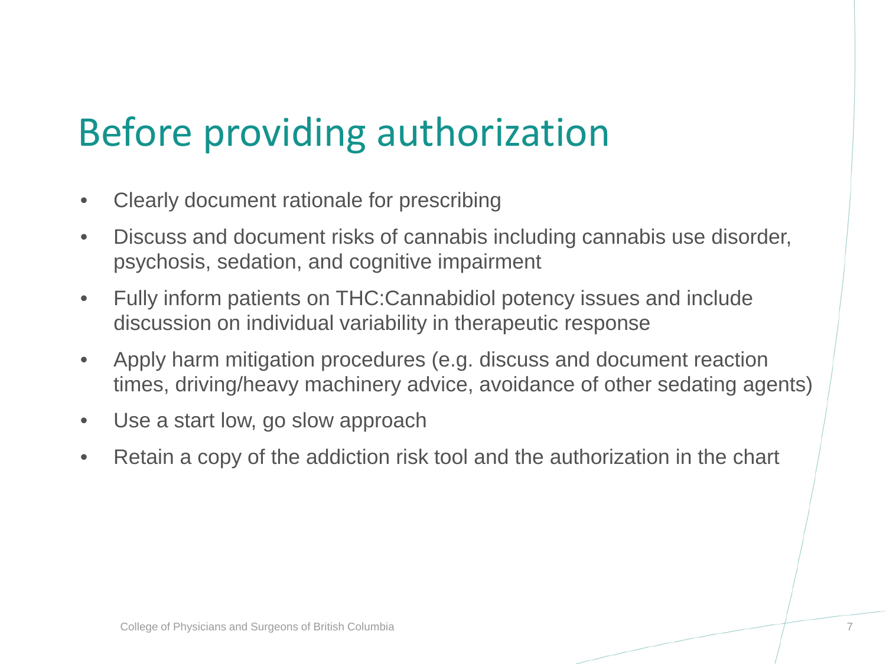## Before providing authorization

- Clearly document rationale for prescribing
- Discuss and document risks of cannabis including cannabis use disorder, psychosis, sedation, and cognitive impairment
- Fully inform patients on THC:Cannabidiol potency issues and include discussion on individual variability in therapeutic response
- Apply harm mitigation procedures (e.g. discuss and document reaction times, driving/heavy machinery advice, avoidance of other sedating agents)
- Use a start low, go slow approach
- Retain a copy of the addiction risk tool and the authorization in the chart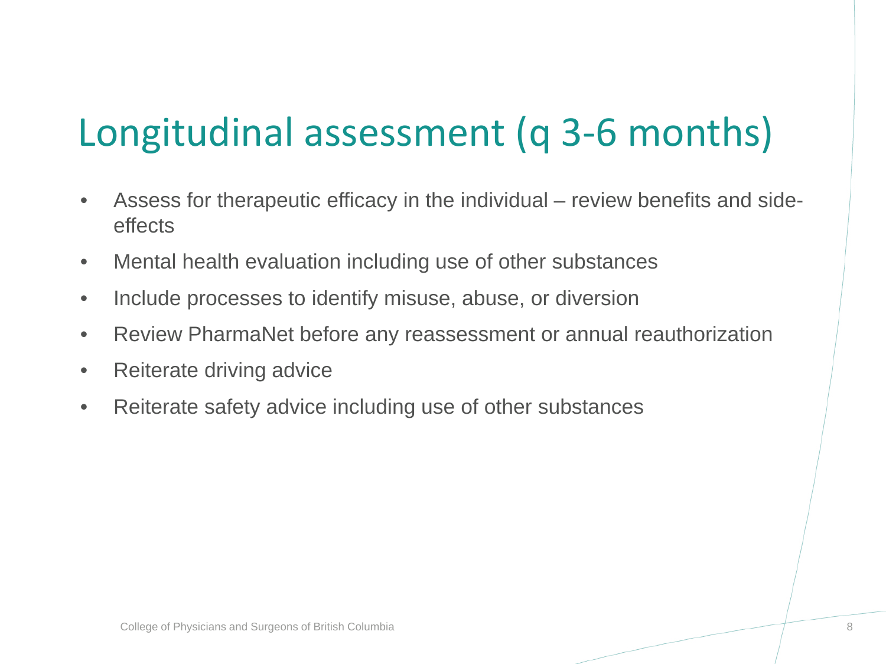# Longitudinal assessment (q 3-6 months)

- Assess for therapeutic efficacy in the individual review benefits and sideeffects
- Mental health evaluation including use of other substances
- Include processes to identify misuse, abuse, or diversion
- Review PharmaNet before any reassessment or annual reauthorization
- Reiterate driving advice
- Reiterate safety advice including use of other substances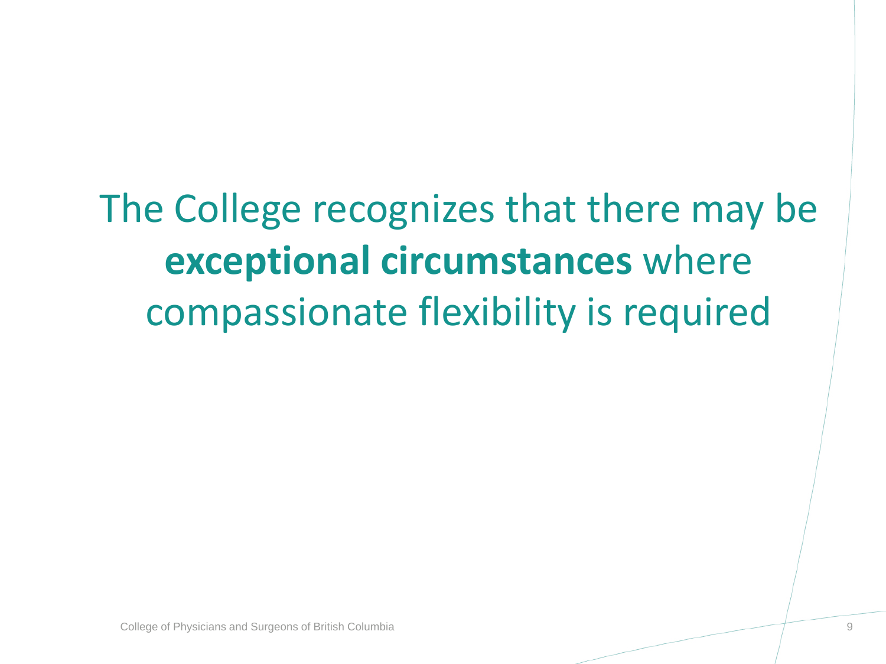The College recognizes that there may be **exceptional circumstances** where compassionate flexibility is required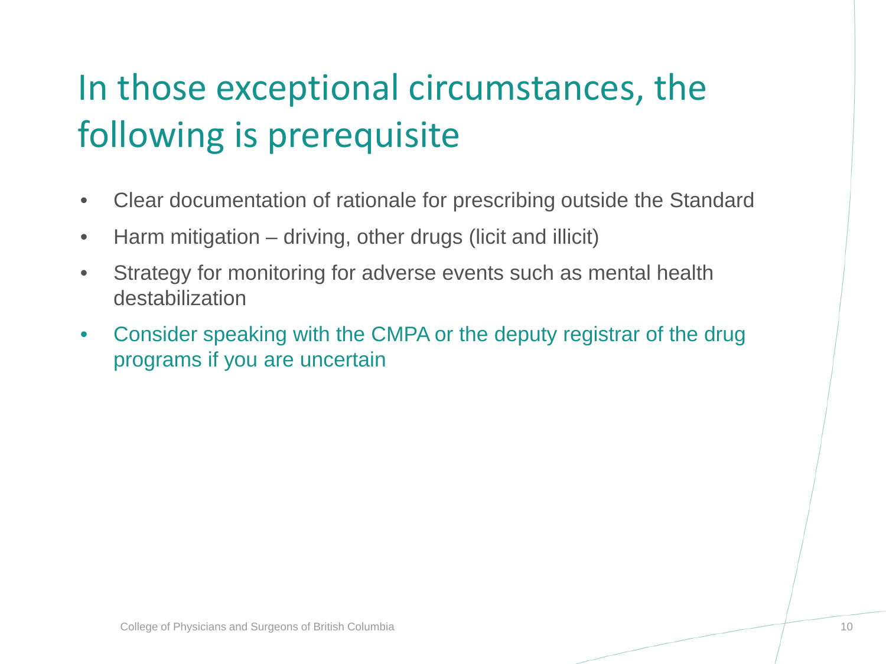## In those exceptional circumstances, the following is prerequisite

- Clear documentation of rationale for prescribing outside the Standard
- Harm mitigation driving, other drugs (licit and illicit)
- Strategy for monitoring for adverse events such as mental health destabilization
- Consider speaking with the CMPA or the deputy registrar of the drug programs if you are uncertain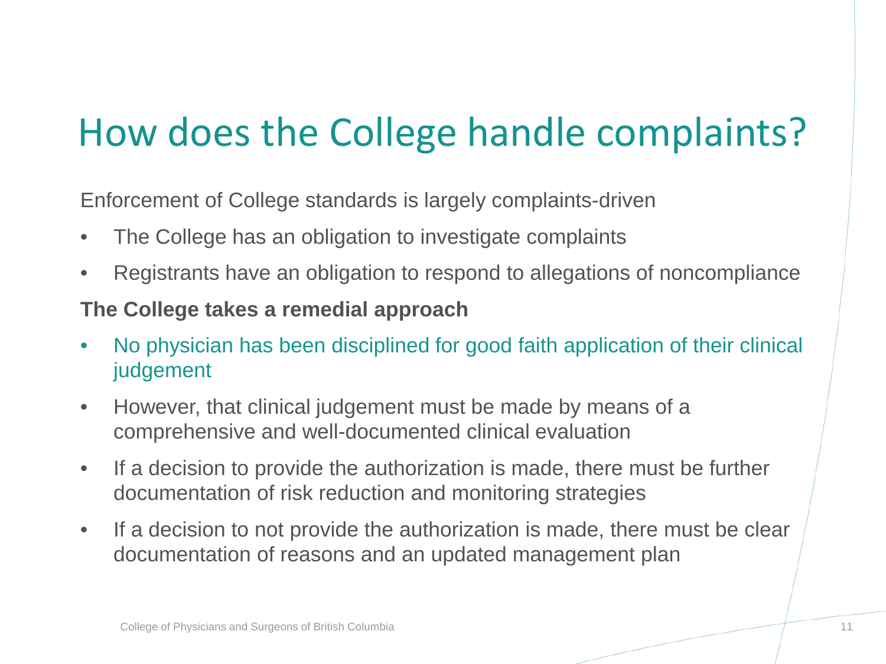## How does the College handle complaints?

Enforcement of College standards is largely complaints-driven

- The College has an obligation to investigate complaints
- Registrants have an obligation to respond to allegations of noncompliance

#### **The College takes a remedial approach**

- No physician has been disciplined for good faith application of their clinical judgement
- However, that clinical judgement must be made by means of a comprehensive and well-documented clinical evaluation
- If a decision to provide the authorization is made, there must be further documentation of risk reduction and monitoring strategies
- If a decision to not provide the authorization is made, there must be clear documentation of reasons and an updated management plan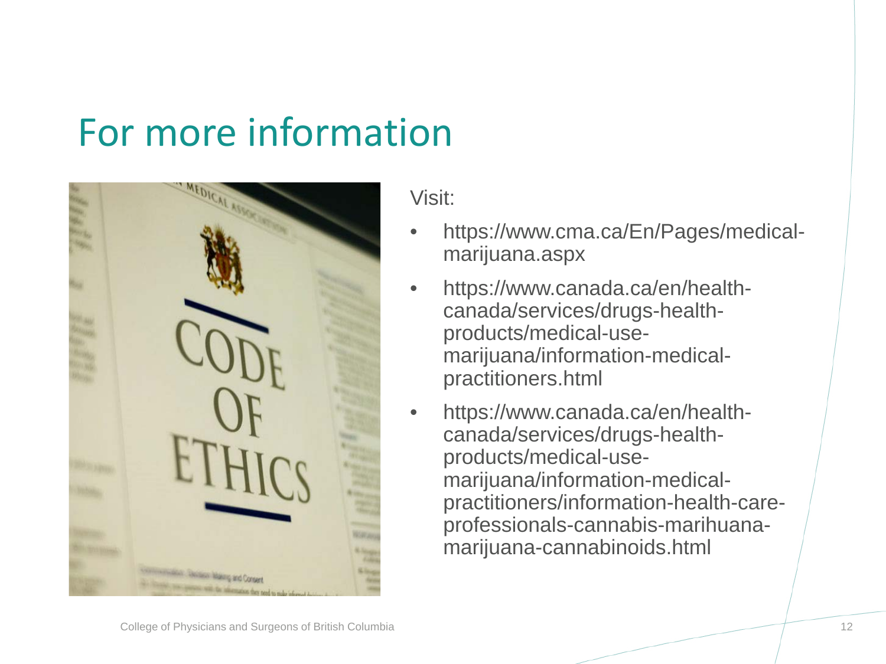#### For more information



Visit:

- https://www.cma.ca/En/Pages/medicalmarijuana.aspx
- https://www.canada.ca/en/healthcanada/services/drugs-healthproducts/medical-usemarijuana/information-medicalpractitioners.html
- https://www.canada.ca/en/healthcanada/services/drugs-healthproducts/medical-usemarijuana/information-medicalpractitioners/information-health-careprofessionals-cannabis-marihuanamarijuana-cannabinoids.html